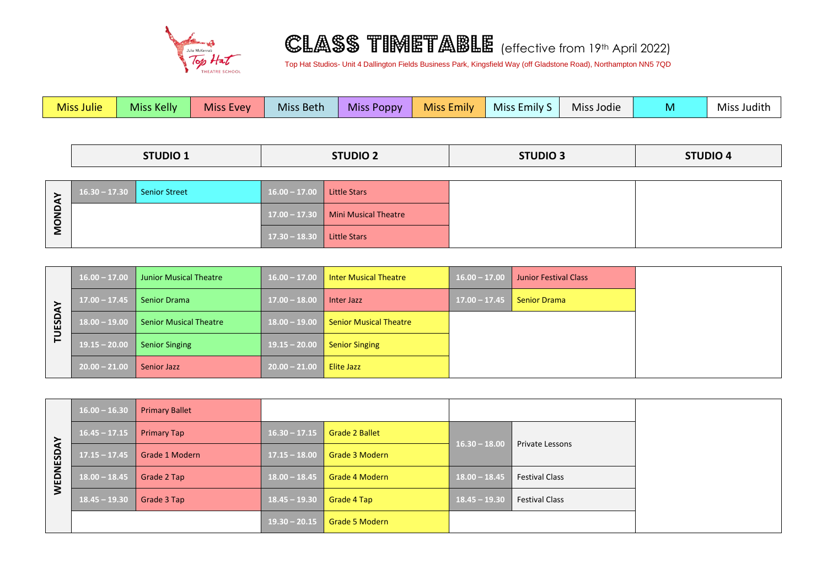

## CLASS TIMETABLE (effective from 19th April 2022)

Top Hat Studios- Unit 4 Dallington Fields Business Park, Kingsfield Way (off Gladstone Road), Northampton NN5 7QD

|               | <b>Miss Julie</b> | Miss Kelly           | <b>Miss Evey</b> | Miss Beth       | <b>Miss Poppy</b>           | <b>Miss Emily</b> | Miss Emily S    | Miss Jodie | M               | Miss Judith |
|---------------|-------------------|----------------------|------------------|-----------------|-----------------------------|-------------------|-----------------|------------|-----------------|-------------|
|               |                   |                      |                  |                 |                             |                   |                 |            |                 |             |
|               | <b>STUDIO 1</b>   |                      |                  |                 | <b>STUDIO 2</b>             |                   | <b>STUDIO 3</b> |            | <b>STUDIO 4</b> |             |
|               |                   |                      |                  |                 |                             |                   |                 |            |                 |             |
|               | $16.30 - 17.30$   | <b>Senior Street</b> |                  | $16.00 - 17.00$ | <b>Little Stars</b>         |                   |                 |            |                 |             |
| <b>MONDAY</b> |                   |                      |                  | $17.00 - 17.30$ | <b>Mini Musical Theatre</b> |                   |                 |            |                 |             |
|               |                   |                      |                  | $17.30 - 18.30$ | <b>Little Stars</b>         |                   |                 |            |                 |             |

| ESDAY          | $16.00 - 17.00$ | <b>Junior Musical Theatre</b> | $16.00 - 17.00$ | <b>Inter Musical Theatre</b>  | $16.00 - 17.00$ | <b>Junior Festival Class</b> |
|----------------|-----------------|-------------------------------|-----------------|-------------------------------|-----------------|------------------------------|
|                | $17.00 - 17.45$ | <b>Senior Drama</b>           | $17.00 - 18.00$ | Inter Jazz                    | $17.00 - 17.45$ | <b>Senior Drama</b>          |
|                | $18.00 - 19.00$ | <b>Senior Musical Theatre</b> |                 | <b>Senior Musical Theatre</b> |                 |                              |
| $\overline{r}$ | $19.15 - 20.00$ | <b>Senior Singing</b>         | $19.15 - 20.00$ | <b>Senior Singing</b>         |                 |                              |
|                | $20.00 - 21.00$ | <b>Senior Jazz</b>            | $20.00 - 21.00$ | Elite Jazz                    |                 |                              |

| <b>SDAY</b><br>WEDNE | $16.00 - 16.30$ | <b>Primary Ballet</b> |                 |                       |                 |                        |
|----------------------|-----------------|-----------------------|-----------------|-----------------------|-----------------|------------------------|
|                      | $16.45 - 17.15$ | <b>Primary Tap</b>    | $16.30 - 17.15$ | <b>Grade 2 Ballet</b> | $16.30 - 18.00$ | <b>Private Lessons</b> |
|                      | $17.15 - 17.45$ | Grade 1 Modern        | $17.15 - 18.00$ | Grade 3 Modern        |                 |                        |
|                      | $18.00 - 18.45$ | Grade 2 Tap           | $18.00 - 18.45$ | <b>Grade 4 Modern</b> | $18.00 - 18.45$ | <b>Festival Class</b>  |
|                      | $18.45 - 19.30$ | Grade 3 Tap           |                 | Grade 4 Tap           | $18.45 - 19.30$ | <b>Festival Class</b>  |
|                      |                 |                       | $19.30 - 20.15$ | Grade 5 Modern        |                 |                        |